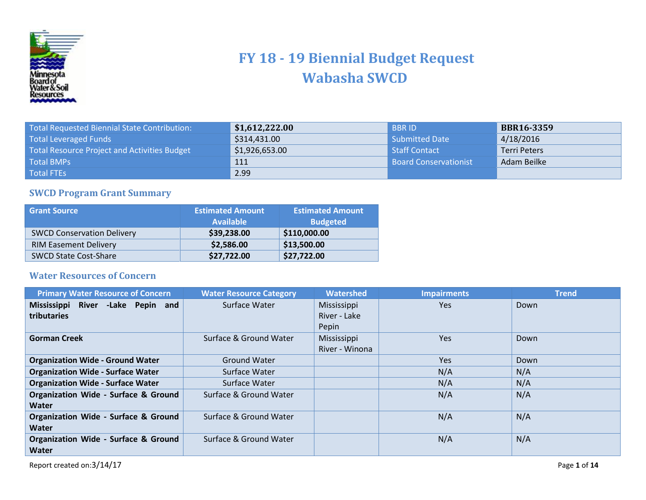

## **FY 18 - 19 Biennial Budget Request Wabasha SWCD**

| Total Requested Biennial State Contribution: | \$1,612,222.00 | <b>BBRID</b>                 | <b>BBR16-3359</b> |
|----------------------------------------------|----------------|------------------------------|-------------------|
| <b>Total Leveraged Funds</b>                 | \$314,431.00   | Submitted Date               | 4/18/2016         |
| Total Resource Project and Activities Budget | \$1,926,653.00 | l Staff Contact              | Terri Peters      |
| <b>Total BMPs</b>                            | 111            | <b>Board Conservationist</b> | Adam Beilke       |
| <b>Total FTEs</b>                            | 2.99           |                              |                   |

## **SWCD Program Grant Summary**

| <b>Grant Source</b>               | <b>Estimated Amount</b><br><b>Available</b> | <b>Estimated Amount</b><br><b>Budgeted</b> |
|-----------------------------------|---------------------------------------------|--------------------------------------------|
| <b>SWCD Conservation Delivery</b> | \$39,238.00                                 | \$110,000.00                               |
| <b>RIM Easement Delivery</b>      | \$2,586.00                                  | \$13,500.00                                |
| <b>SWCD State Cost-Share</b>      | \$27,722.00                                 | \$27,722.00                                |

## **Water Resources of Concern**

| <b>Primary Water Resource of Concern</b>        | <b>Water Resource Category</b> | <b>Watershed</b> | <b>Impairments</b> | <b>Trend</b> |
|-------------------------------------------------|--------------------------------|------------------|--------------------|--------------|
| Mississippi River - Lake Pepin and              | Surface Water                  | Mississippi      | <b>Yes</b>         | Down         |
| tributaries                                     |                                | River - Lake     |                    |              |
|                                                 |                                | Pepin            |                    |              |
| <b>Gorman Creek</b>                             | Surface & Ground Water         | Mississippi      | <b>Yes</b>         | Down         |
|                                                 |                                | River - Winona   |                    |              |
| <b>Organization Wide - Ground Water</b>         | <b>Ground Water</b>            |                  | Yes                | Down         |
| <b>Organization Wide - Surface Water</b>        | Surface Water                  |                  | N/A                | N/A          |
| <b>Organization Wide - Surface Water</b>        | Surface Water                  |                  | N/A                | N/A          |
| Organization Wide - Surface & Ground            | Surface & Ground Water         |                  | N/A                | N/A          |
| Water                                           |                                |                  |                    |              |
| Organization Wide - Surface & Ground            | Surface & Ground Water         |                  | N/A                | N/A          |
| Water                                           |                                |                  |                    |              |
| <b>Organization Wide - Surface &amp; Ground</b> | Surface & Ground Water         |                  | N/A                | N/A          |
| Water                                           |                                |                  |                    |              |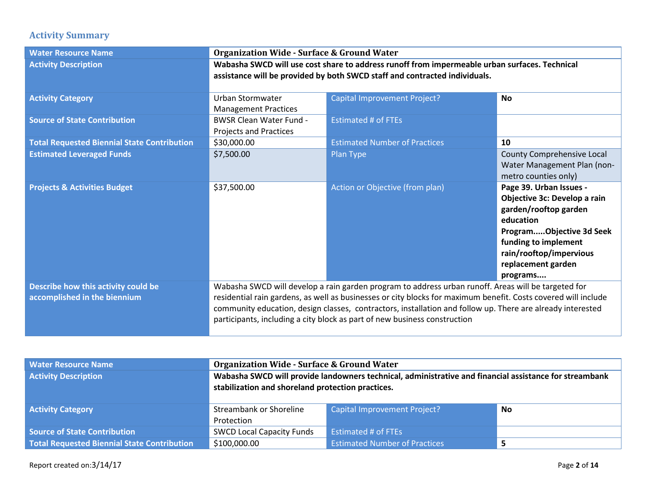## **Activity Summary**

| <b>Water Resource Name</b>                                          | <b>Organization Wide - Surface &amp; Ground Water</b>                                                                                                                                                                                                                                                                                                                                                            |                                      |                                                                                                                                                                                                                |
|---------------------------------------------------------------------|------------------------------------------------------------------------------------------------------------------------------------------------------------------------------------------------------------------------------------------------------------------------------------------------------------------------------------------------------------------------------------------------------------------|--------------------------------------|----------------------------------------------------------------------------------------------------------------------------------------------------------------------------------------------------------------|
| <b>Activity Description</b>                                         | Wabasha SWCD will use cost share to address runoff from impermeable urban surfaces. Technical<br>assistance will be provided by both SWCD staff and contracted individuals.                                                                                                                                                                                                                                      |                                      |                                                                                                                                                                                                                |
| <b>Activity Category</b>                                            | <b>Urban Stormwater</b><br><b>Management Practices</b>                                                                                                                                                                                                                                                                                                                                                           | Capital Improvement Project?         | <b>No</b>                                                                                                                                                                                                      |
| <b>Source of State Contribution</b>                                 | <b>BWSR Clean Water Fund -</b><br>Projects and Practices                                                                                                                                                                                                                                                                                                                                                         | <b>Estimated # of FTEs</b>           |                                                                                                                                                                                                                |
| <b>Total Requested Biennial State Contribution</b>                  | \$30,000.00                                                                                                                                                                                                                                                                                                                                                                                                      | <b>Estimated Number of Practices</b> | 10                                                                                                                                                                                                             |
| <b>Estimated Leveraged Funds</b>                                    | \$7,500.00                                                                                                                                                                                                                                                                                                                                                                                                       | Plan Type                            | County Comprehensive Local<br>Water Management Plan (non-<br>metro counties only)                                                                                                                              |
| <b>Projects &amp; Activities Budget</b>                             | \$37,500.00                                                                                                                                                                                                                                                                                                                                                                                                      | Action or Objective (from plan)      | Page 39. Urban Issues -<br>Objective 3c: Develop a rain<br>garden/rooftop garden<br>education<br>ProgramObjective 3d Seek<br>funding to implement<br>rain/rooftop/impervious<br>replacement garden<br>programs |
| Describe how this activity could be<br>accomplished in the biennium | Wabasha SWCD will develop a rain garden program to address urban runoff. Areas will be targeted for<br>residential rain gardens, as well as businesses or city blocks for maximum benefit. Costs covered will include<br>community education, design classes, contractors, installation and follow up. There are already interested<br>participants, including a city block as part of new business construction |                                      |                                                                                                                                                                                                                |

| <b>Water Resource Name</b>                  | <b>Organization Wide - Surface &amp; Ground Water</b>                                                                                                       |                                      |  |
|---------------------------------------------|-------------------------------------------------------------------------------------------------------------------------------------------------------------|--------------------------------------|--|
| <b>Activity Description</b>                 | Wabasha SWCD will provide landowners technical, administrative and financial assistance for streambank<br>stabilization and shoreland protection practices. |                                      |  |
| <b>Activity Category</b>                    | <b>Capital Improvement Project?</b><br>Streambank or Shoreline<br><b>No</b>                                                                                 |                                      |  |
|                                             | Protection                                                                                                                                                  |                                      |  |
| Source of State Contribution                | <b>SWCD Local Capacity Funds</b>                                                                                                                            | Estimated # of FTEs                  |  |
| Total Requested Biennial State Contribution | \$100,000.00                                                                                                                                                | <b>Estimated Number of Practices</b> |  |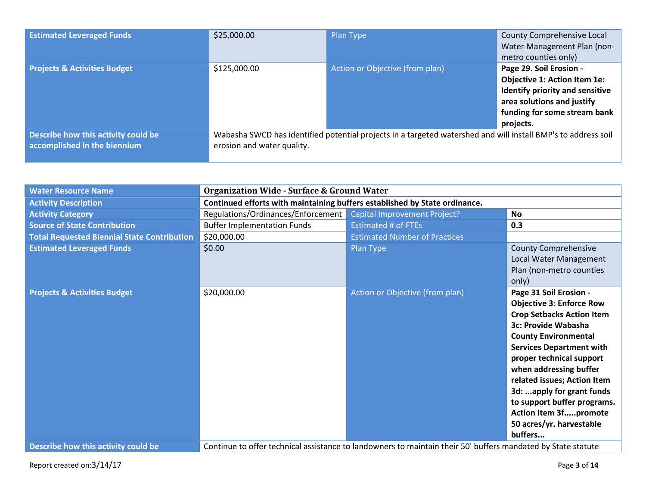| <b>Estimated Leveraged Funds</b>                                    | \$25,000.00                | Plan Type                                                                                                     | <b>County Comprehensive Local</b><br>Water Management Plan (non-<br>metro counties only)                                                                                     |
|---------------------------------------------------------------------|----------------------------|---------------------------------------------------------------------------------------------------------------|------------------------------------------------------------------------------------------------------------------------------------------------------------------------------|
| <b>Projects &amp; Activities Budget</b>                             | \$125,000.00               | Action or Objective (from plan)                                                                               | Page 29. Soil Erosion -<br><b>Objective 1: Action Item 1e:</b><br>Identify priority and sensitive<br>area solutions and justify<br>funding for some stream bank<br>projects. |
| Describe how this activity could be<br>accomplished in the biennium | erosion and water quality. | Wabasha SWCD has identified potential projects in a targeted watershed and will install BMP's to address soil |                                                                                                                                                                              |

| <b>Water Resource Name</b>                         | <b>Organization Wide - Surface &amp; Ground Water</b>                                                        |                                      |                                  |  |
|----------------------------------------------------|--------------------------------------------------------------------------------------------------------------|--------------------------------------|----------------------------------|--|
| <b>Activity Description</b>                        | Continued efforts with maintaining buffers established by State ordinance.                                   |                                      |                                  |  |
| <b>Activity Category</b>                           | Regulations/Ordinances/Enforcement                                                                           | Capital Improvement Project?         | <b>No</b>                        |  |
| <b>Source of State Contribution</b>                | <b>Buffer Implementation Funds</b>                                                                           | <b>Estimated # of FTEs</b>           | 0.3                              |  |
| <b>Total Requested Biennial State Contribution</b> | \$20,000.00                                                                                                  | <b>Estimated Number of Practices</b> |                                  |  |
| <b>Estimated Leveraged Funds</b>                   | \$0.00                                                                                                       | Plan Type                            | <b>County Comprehensive</b>      |  |
|                                                    |                                                                                                              |                                      | Local Water Management           |  |
|                                                    |                                                                                                              |                                      | Plan (non-metro counties         |  |
|                                                    |                                                                                                              |                                      | only)                            |  |
| <b>Projects &amp; Activities Budget</b>            | \$20,000.00                                                                                                  | Action or Objective (from plan)      | Page 31 Soil Erosion -           |  |
|                                                    |                                                                                                              |                                      | <b>Objective 3: Enforce Row</b>  |  |
|                                                    |                                                                                                              |                                      | <b>Crop Setbacks Action Item</b> |  |
|                                                    |                                                                                                              |                                      | 3c: Provide Wabasha              |  |
|                                                    |                                                                                                              |                                      | <b>County Environmental</b>      |  |
|                                                    |                                                                                                              |                                      | <b>Services Department with</b>  |  |
|                                                    |                                                                                                              |                                      | proper technical support         |  |
|                                                    |                                                                                                              |                                      | when addressing buffer           |  |
|                                                    |                                                                                                              |                                      | related issues; Action Item      |  |
|                                                    |                                                                                                              |                                      | 3d: apply for grant funds        |  |
|                                                    |                                                                                                              |                                      | to support buffer programs.      |  |
|                                                    |                                                                                                              |                                      | Action Item 3fpromote            |  |
|                                                    |                                                                                                              |                                      | 50 acres/yr. harvestable         |  |
|                                                    |                                                                                                              |                                      | buffers                          |  |
| Describe how this activity could be                | Continue to offer technical assistance to landowners to maintain their 50' buffers mandated by State statute |                                      |                                  |  |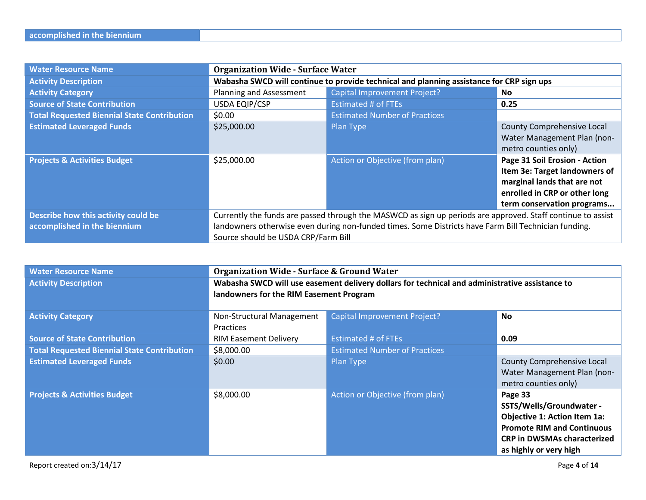| <b>Water Resource Name</b>                                          | <b>Organization Wide - Surface Water</b>                                                                                                                                                                                                                   |                                      |                                                                                                                                                              |
|---------------------------------------------------------------------|------------------------------------------------------------------------------------------------------------------------------------------------------------------------------------------------------------------------------------------------------------|--------------------------------------|--------------------------------------------------------------------------------------------------------------------------------------------------------------|
| <b>Activity Description</b>                                         | Wabasha SWCD will continue to provide technical and planning assistance for CRP sign ups                                                                                                                                                                   |                                      |                                                                                                                                                              |
| <b>Activity Category</b>                                            | Planning and Assessment                                                                                                                                                                                                                                    | Capital Improvement Project?         | No.                                                                                                                                                          |
| <b>Source of State Contribution</b>                                 | <b>USDA EQIP/CSP</b>                                                                                                                                                                                                                                       | <b>Estimated # of FTEs</b>           | 0.25                                                                                                                                                         |
| <b>Total Requested Biennial State Contribution</b>                  | \$0.00                                                                                                                                                                                                                                                     | <b>Estimated Number of Practices</b> |                                                                                                                                                              |
| <b>Estimated Leveraged Funds</b>                                    | \$25,000.00                                                                                                                                                                                                                                                | Plan Type                            | County Comprehensive Local<br>Water Management Plan (non-<br>metro counties only)                                                                            |
| <b>Projects &amp; Activities Budget</b>                             | \$25,000.00                                                                                                                                                                                                                                                | Action or Objective (from plan)      | Page 31 Soil Erosion - Action<br>Item 3e: Target landowners of<br>marginal lands that are not<br>enrolled in CRP or other long<br>term conservation programs |
| Describe how this activity could be<br>accomplished in the biennium | Currently the funds are passed through the MASWCD as sign up periods are approved. Staff continue to assist<br>landowners otherwise even during non-funded times. Some Districts have Farm Bill Technician funding.<br>Source should be USDA CRP/Farm Bill |                                      |                                                                                                                                                              |

| <b>Water Resource Name</b>                         | <b>Organization Wide - Surface &amp; Ground Water</b>                                          |                                      |                                     |
|----------------------------------------------------|------------------------------------------------------------------------------------------------|--------------------------------------|-------------------------------------|
| <b>Activity Description</b>                        | Wabasha SWCD will use easement delivery dollars for technical and administrative assistance to |                                      |                                     |
|                                                    | landowners for the RIM Easement Program                                                        |                                      |                                     |
|                                                    |                                                                                                |                                      |                                     |
| <b>Activity Category</b>                           | Non-Structural Management                                                                      | <b>Capital Improvement Project?</b>  | <b>No</b>                           |
|                                                    | <b>Practices</b>                                                                               |                                      |                                     |
| <b>Source of State Contribution</b>                | <b>RIM Easement Delivery</b>                                                                   | <b>Estimated # of FTEs</b>           | 0.09                                |
| <b>Total Requested Biennial State Contribution</b> | \$8,000.00                                                                                     | <b>Estimated Number of Practices</b> |                                     |
| <b>Estimated Leveraged Funds</b>                   | \$0.00                                                                                         | Plan Type                            | County Comprehensive Local          |
|                                                    |                                                                                                |                                      | Water Management Plan (non-         |
|                                                    |                                                                                                |                                      | metro counties only)                |
| <b>Projects &amp; Activities Budget</b>            | \$8,000.00                                                                                     | Action or Objective (from plan)      | Page 33                             |
|                                                    |                                                                                                |                                      | SSTS/Wells/Groundwater -            |
|                                                    |                                                                                                |                                      | <b>Objective 1: Action Item 1a:</b> |
|                                                    |                                                                                                |                                      | <b>Promote RIM and Continuous</b>   |
|                                                    |                                                                                                |                                      | <b>CRP in DWSMAs characterized</b>  |
|                                                    |                                                                                                |                                      | as highly or very high              |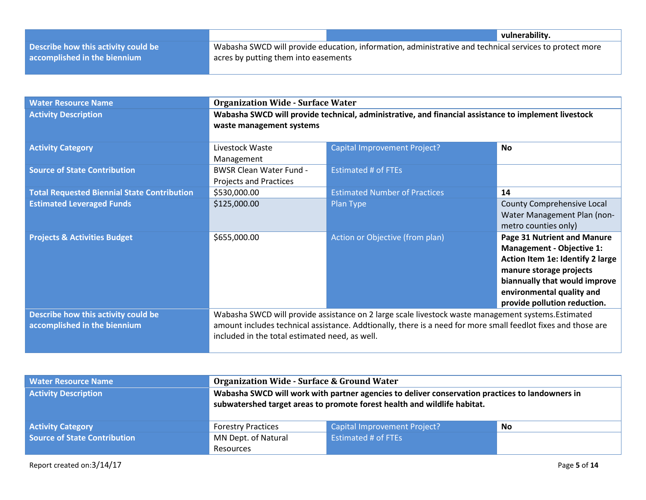|                                     |                                                                                                               | vulnerability. |
|-------------------------------------|---------------------------------------------------------------------------------------------------------------|----------------|
| Describe how this activity could be | $\mu$ Wabasha SWCD will provide education, information, administrative and technical services to protect more |                |
| accomplished in the biennium        | acres by putting them into easements                                                                          |                |

| <b>Water Resource Name</b>                         | <b>Organization Wide - Surface Water</b>                                                                                                                        |                                                                                                     |                                   |
|----------------------------------------------------|-----------------------------------------------------------------------------------------------------------------------------------------------------------------|-----------------------------------------------------------------------------------------------------|-----------------------------------|
| <b>Activity Description</b>                        | Wabasha SWCD will provide technical, administrative, and financial assistance to implement livestock                                                            |                                                                                                     |                                   |
|                                                    | waste management systems                                                                                                                                        |                                                                                                     |                                   |
| <b>Activity Category</b>                           | Livestock Waste                                                                                                                                                 | <b>Capital Improvement Project?</b>                                                                 | <b>No</b>                         |
|                                                    | Management                                                                                                                                                      |                                                                                                     |                                   |
| <b>Source of State Contribution</b>                | <b>BWSR Clean Water Fund -</b>                                                                                                                                  | <b>Estimated # of FTEs</b>                                                                          |                                   |
|                                                    | Projects and Practices                                                                                                                                          |                                                                                                     |                                   |
| <b>Total Requested Biennial State Contribution</b> | \$530,000.00                                                                                                                                                    | <b>Estimated Number of Practices</b>                                                                | 14                                |
| <b>Estimated Leveraged Funds</b>                   | \$125,000.00                                                                                                                                                    | Plan Type                                                                                           | <b>County Comprehensive Local</b> |
|                                                    |                                                                                                                                                                 |                                                                                                     | Water Management Plan (non-       |
|                                                    |                                                                                                                                                                 |                                                                                                     | metro counties only)              |
| <b>Projects &amp; Activities Budget</b>            | \$655,000.00                                                                                                                                                    | Action or Objective (from plan)                                                                     | Page 31 Nutrient and Manure       |
|                                                    |                                                                                                                                                                 |                                                                                                     | <b>Management - Objective 1:</b>  |
|                                                    |                                                                                                                                                                 |                                                                                                     | Action Item 1e: Identify 2 large  |
|                                                    |                                                                                                                                                                 |                                                                                                     | manure storage projects           |
|                                                    |                                                                                                                                                                 |                                                                                                     | biannually that would improve     |
|                                                    |                                                                                                                                                                 |                                                                                                     | environmental quality and         |
|                                                    |                                                                                                                                                                 |                                                                                                     | provide pollution reduction.      |
| Describe how this activity could be                |                                                                                                                                                                 | Wabasha SWCD will provide assistance on 2 large scale livestock waste management systems. Estimated |                                   |
| accomplished in the biennium                       | amount includes technical assistance. Addtionally, there is a need for more small feedlot fixes and those are<br>included in the total estimated need, as well. |                                                                                                     |                                   |
|                                                    |                                                                                                                                                                 |                                                                                                     |                                   |

| <b>Water Resource Name</b>   | <b>Organization Wide - Surface &amp; Ground Water</b>                                                                                                                       |                                           |  |  |
|------------------------------|-----------------------------------------------------------------------------------------------------------------------------------------------------------------------------|-------------------------------------------|--|--|
| <b>Activity Description</b>  | Wabasha SWCD will work with partner agencies to deliver conservation practices to landowners in<br>subwatershed target areas to promote forest health and wildlife habitat. |                                           |  |  |
| <b>Activity Category</b>     | <b>Forestry Practices</b>                                                                                                                                                   | <b>Capital Improvement Project?</b><br>No |  |  |
| Source of State Contribution | MN Dept. of Natural<br><b>Estimated # of FTEs</b>                                                                                                                           |                                           |  |  |
|                              | Resources                                                                                                                                                                   |                                           |  |  |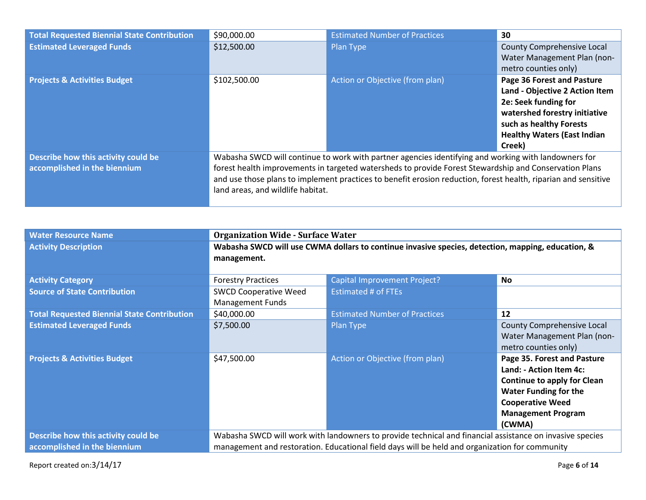| <b>Total Requested Biennial State Contribution</b> | \$90,000.00                                                                                                    | <b>Estimated Number of Practices</b> | 30                                 |  |
|----------------------------------------------------|----------------------------------------------------------------------------------------------------------------|--------------------------------------|------------------------------------|--|
| <b>Estimated Leveraged Funds</b>                   | \$12,500.00                                                                                                    | Plan Type                            | County Comprehensive Local         |  |
|                                                    |                                                                                                                |                                      | Water Management Plan (non-        |  |
|                                                    |                                                                                                                |                                      | metro counties only)               |  |
| <b>Projects &amp; Activities Budget</b>            | \$102,500.00                                                                                                   | Action or Objective (from plan)      | Page 36 Forest and Pasture         |  |
|                                                    |                                                                                                                |                                      | Land - Objective 2 Action Item     |  |
|                                                    |                                                                                                                |                                      | 2e: Seek funding for               |  |
|                                                    |                                                                                                                |                                      | watershed forestry initiative      |  |
|                                                    |                                                                                                                |                                      | such as healthy Forests            |  |
|                                                    |                                                                                                                |                                      | <b>Healthy Waters (East Indian</b> |  |
|                                                    |                                                                                                                |                                      | Creek)                             |  |
| Describe how this activity could be                | Wabasha SWCD will continue to work with partner agencies identifying and working with landowners for           |                                      |                                    |  |
| accomplished in the biennium                       | forest health improvements in targeted watersheds to provide Forest Stewardship and Conservation Plans         |                                      |                                    |  |
|                                                    | and use those plans to implement practices to benefit erosion reduction, forest health, riparian and sensitive |                                      |                                    |  |
|                                                    | land areas, and wildlife habitat.                                                                              |                                      |                                    |  |

| <b>Water Resource Name</b>                         | <b>Organization Wide - Surface Water</b>                                                          |                                                                                                          |                                    |
|----------------------------------------------------|---------------------------------------------------------------------------------------------------|----------------------------------------------------------------------------------------------------------|------------------------------------|
| <b>Activity Description</b>                        | Wabasha SWCD will use CWMA dollars to continue invasive species, detection, mapping, education, & |                                                                                                          |                                    |
|                                                    | management.                                                                                       |                                                                                                          |                                    |
|                                                    |                                                                                                   |                                                                                                          |                                    |
| <b>Activity Category</b>                           | <b>Forestry Practices</b>                                                                         | <b>Capital Improvement Project?</b>                                                                      | No.                                |
| <b>Source of State Contribution</b>                | <b>SWCD Cooperative Weed</b>                                                                      | <b>Estimated # of FTEs</b>                                                                               |                                    |
|                                                    | <b>Management Funds</b>                                                                           |                                                                                                          |                                    |
| <b>Total Requested Biennial State Contribution</b> | \$40,000.00                                                                                       | <b>Estimated Number of Practices</b>                                                                     | 12                                 |
| <b>Estimated Leveraged Funds</b>                   | \$7,500.00                                                                                        | Plan Type                                                                                                | County Comprehensive Local         |
|                                                    |                                                                                                   |                                                                                                          | Water Management Plan (non-        |
|                                                    |                                                                                                   |                                                                                                          | metro counties only)               |
| <b>Projects &amp; Activities Budget</b>            | \$47,500.00                                                                                       | Action or Objective (from plan)                                                                          | Page 35. Forest and Pasture        |
|                                                    |                                                                                                   |                                                                                                          | Land: - Action Item 4c:            |
|                                                    |                                                                                                   |                                                                                                          | <b>Continue to apply for Clean</b> |
|                                                    |                                                                                                   |                                                                                                          | <b>Water Funding for the</b>       |
|                                                    |                                                                                                   |                                                                                                          | <b>Cooperative Weed</b>            |
|                                                    |                                                                                                   |                                                                                                          | <b>Management Program</b>          |
|                                                    |                                                                                                   |                                                                                                          | (CWMA)                             |
| Describe how this activity could be                |                                                                                                   | Wabasha SWCD will work with landowners to provide technical and financial assistance on invasive species |                                    |
| accomplished in the biennium                       | management and restoration. Educational field days will be held and organization for community    |                                                                                                          |                                    |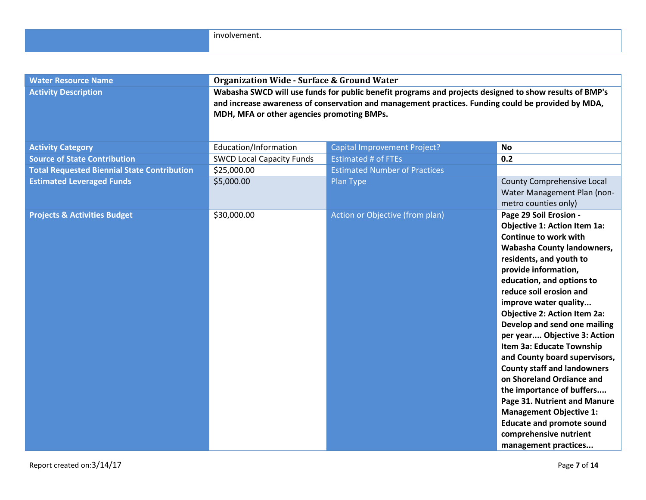| <b>Water Resource Name</b>                         | <b>Organization Wide - Surface &amp; Ground Water</b>                                                                                                                                                                                                      |                                      |                                                                                                                                                                                                                                                                                                                                                                                                                                                                                                                                                                                                                                                                                       |  |
|----------------------------------------------------|------------------------------------------------------------------------------------------------------------------------------------------------------------------------------------------------------------------------------------------------------------|--------------------------------------|---------------------------------------------------------------------------------------------------------------------------------------------------------------------------------------------------------------------------------------------------------------------------------------------------------------------------------------------------------------------------------------------------------------------------------------------------------------------------------------------------------------------------------------------------------------------------------------------------------------------------------------------------------------------------------------|--|
| <b>Activity Description</b>                        | Wabasha SWCD will use funds for public benefit programs and projects designed to show results of BMP's<br>and increase awareness of conservation and management practices. Funding could be provided by MDA,<br>MDH, MFA or other agencies promoting BMPs. |                                      |                                                                                                                                                                                                                                                                                                                                                                                                                                                                                                                                                                                                                                                                                       |  |
| <b>Activity Category</b>                           | Education/Information                                                                                                                                                                                                                                      | Capital Improvement Project?         | <b>No</b>                                                                                                                                                                                                                                                                                                                                                                                                                                                                                                                                                                                                                                                                             |  |
| <b>Source of State Contribution</b>                | <b>SWCD Local Capacity Funds</b>                                                                                                                                                                                                                           | <b>Estimated # of FTEs</b>           | 0.2                                                                                                                                                                                                                                                                                                                                                                                                                                                                                                                                                                                                                                                                                   |  |
| <b>Total Requested Biennial State Contribution</b> | \$25,000.00                                                                                                                                                                                                                                                | <b>Estimated Number of Practices</b> |                                                                                                                                                                                                                                                                                                                                                                                                                                                                                                                                                                                                                                                                                       |  |
| <b>Estimated Leveraged Funds</b>                   | \$5,000.00                                                                                                                                                                                                                                                 | Plan Type                            | County Comprehensive Local<br>Water Management Plan (non-<br>metro counties only)                                                                                                                                                                                                                                                                                                                                                                                                                                                                                                                                                                                                     |  |
| <b>Projects &amp; Activities Budget</b>            | \$30,000.00                                                                                                                                                                                                                                                | Action or Objective (from plan)      | Page 29 Soil Erosion -<br><b>Objective 1: Action Item 1a:</b><br>Continue to work with<br>Wabasha County landowners,<br>residents, and youth to<br>provide information,<br>education, and options to<br>reduce soil erosion and<br>improve water quality<br><b>Objective 2: Action Item 2a:</b><br>Develop and send one mailing<br>per year Objective 3: Action<br>Item 3a: Educate Township<br>and County board supervisors,<br><b>County staff and landowners</b><br>on Shoreland Ordiance and<br>the importance of buffers<br>Page 31. Nutrient and Manure<br><b>Management Objective 1:</b><br><b>Educate and promote sound</b><br>comprehensive nutrient<br>management practices |  |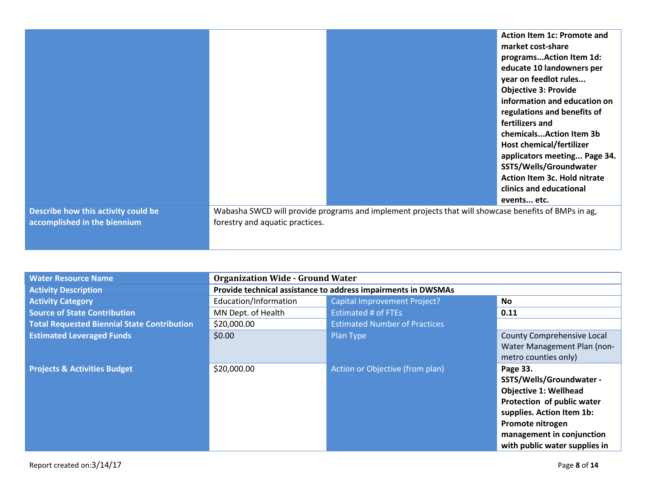|                                                                     |                                 |                                                                                                      | Action Item 1c: Promote and<br>market cost-share<br>programsAction Item 1d:<br>educate 10 landowners per<br>year on feedlot rules<br><b>Objective 3: Provide</b><br>information and education on<br>regulations and benefits of<br>fertilizers and<br>chemicalsAction Item 3b<br>Host chemical/fertilizer<br>applicators meeting Page 34.<br>SSTS/Wells/Groundwater<br><b>Action Item 3c. Hold nitrate</b><br>clinics and educational |
|---------------------------------------------------------------------|---------------------------------|------------------------------------------------------------------------------------------------------|---------------------------------------------------------------------------------------------------------------------------------------------------------------------------------------------------------------------------------------------------------------------------------------------------------------------------------------------------------------------------------------------------------------------------------------|
|                                                                     |                                 |                                                                                                      |                                                                                                                                                                                                                                                                                                                                                                                                                                       |
|                                                                     |                                 |                                                                                                      | events etc.                                                                                                                                                                                                                                                                                                                                                                                                                           |
| Describe how this activity could be<br>accomplished in the biennium | forestry and aquatic practices. | Wabasha SWCD will provide programs and implement projects that will showcase benefits of BMPs in ag, |                                                                                                                                                                                                                                                                                                                                                                                                                                       |

| <b>Water Resource Name</b>                         | <b>Organization Wide - Ground Water</b>                       |                                      |                                                                                                                                                                                                                   |
|----------------------------------------------------|---------------------------------------------------------------|--------------------------------------|-------------------------------------------------------------------------------------------------------------------------------------------------------------------------------------------------------------------|
| <b>Activity Description</b>                        | Provide technical assistance to address impairments in DWSMAs |                                      |                                                                                                                                                                                                                   |
| <b>Activity Category</b>                           | Education/Information                                         | <b>Capital Improvement Project?</b>  | <b>No</b>                                                                                                                                                                                                         |
| <b>Source of State Contribution</b>                | MN Dept. of Health                                            | <b>Estimated # of FTEs</b>           | 0.11                                                                                                                                                                                                              |
| <b>Total Requested Biennial State Contribution</b> | \$20,000.00                                                   | <b>Estimated Number of Practices</b> |                                                                                                                                                                                                                   |
| <b>Estimated Leveraged Funds</b>                   | \$0.00                                                        | Plan Type                            | County Comprehensive Local<br>Water Management Plan (non-<br>metro counties only)                                                                                                                                 |
| <b>Projects &amp; Activities Budget</b>            | \$20,000.00                                                   | Action or Objective (from plan)      | Page 33.<br>SSTS/Wells/Groundwater -<br><b>Objective 1: Wellhead</b><br>Protection of public water<br>supplies. Action Item 1b:<br>Promote nitrogen<br>management in conjunction<br>with public water supplies in |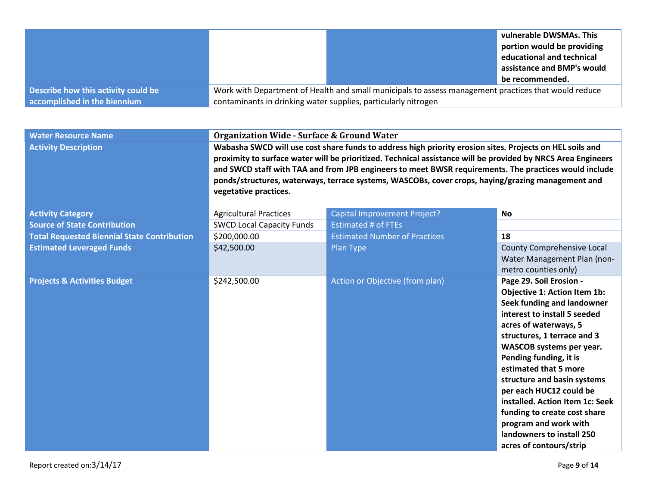|                                     |                                                                                                      |  | vulnerable DWSMAs. This<br>portion would be providing<br>educational and technical<br>assistance and BMP's would<br>be recommended. |
|-------------------------------------|------------------------------------------------------------------------------------------------------|--|-------------------------------------------------------------------------------------------------------------------------------------|
| Describe how this activity could be | Work with Department of Health and small municipals to assess management practices that would reduce |  |                                                                                                                                     |
| accomplished in the biennium        | contaminants in drinking water supplies, particularly nitrogen                                       |  |                                                                                                                                     |

| <b>Water Resource Name</b>                         | <b>Organization Wide - Surface &amp; Ground Water</b>                                                                                                                                                                                                                                                                                                                                                                                                           |                                      |                                                                                                                                                                                                                                                                                                                                                                                                                                                                            |  |
|----------------------------------------------------|-----------------------------------------------------------------------------------------------------------------------------------------------------------------------------------------------------------------------------------------------------------------------------------------------------------------------------------------------------------------------------------------------------------------------------------------------------------------|--------------------------------------|----------------------------------------------------------------------------------------------------------------------------------------------------------------------------------------------------------------------------------------------------------------------------------------------------------------------------------------------------------------------------------------------------------------------------------------------------------------------------|--|
| <b>Activity Description</b>                        | Wabasha SWCD will use cost share funds to address high priority erosion sites. Projects on HEL soils and<br>proximity to surface water will be prioritized. Technical assistance will be provided by NRCS Area Engineers<br>and SWCD staff with TAA and from JPB engineers to meet BWSR requirements. The practices would include<br>ponds/structures, waterways, terrace systems, WASCOBs, cover crops, haying/grazing management and<br>vegetative practices. |                                      |                                                                                                                                                                                                                                                                                                                                                                                                                                                                            |  |
| <b>Activity Category</b>                           | <b>Agricultural Practices</b>                                                                                                                                                                                                                                                                                                                                                                                                                                   | <b>Capital Improvement Project?</b>  | <b>No</b>                                                                                                                                                                                                                                                                                                                                                                                                                                                                  |  |
| <b>Source of State Contribution</b>                | <b>SWCD Local Capacity Funds</b>                                                                                                                                                                                                                                                                                                                                                                                                                                | <b>Estimated # of FTEs</b>           |                                                                                                                                                                                                                                                                                                                                                                                                                                                                            |  |
| <b>Total Requested Biennial State Contribution</b> | \$200,000.00                                                                                                                                                                                                                                                                                                                                                                                                                                                    | <b>Estimated Number of Practices</b> | 18                                                                                                                                                                                                                                                                                                                                                                                                                                                                         |  |
| <b>Estimated Leveraged Funds</b>                   | \$42,500.00                                                                                                                                                                                                                                                                                                                                                                                                                                                     | Plan Type                            | <b>County Comprehensive Local</b><br>Water Management Plan (non-<br>metro counties only)                                                                                                                                                                                                                                                                                                                                                                                   |  |
| <b>Projects &amp; Activities Budget</b>            | \$242,500.00                                                                                                                                                                                                                                                                                                                                                                                                                                                    | Action or Objective (from plan)      | Page 29. Soil Erosion -<br>Objective 1: Action Item 1b:<br>Seek funding and landowner<br>interest to install 5 seeded<br>acres of waterways, 5<br>structures, 1 terrace and 3<br>WASCOB systems per year.<br>Pending funding, it is<br>estimated that 5 more<br>structure and basin systems<br>per each HUC12 could be<br>installed. Action Item 1c: Seek<br>funding to create cost share<br>program and work with<br>landowners to install 250<br>acres of contours/strip |  |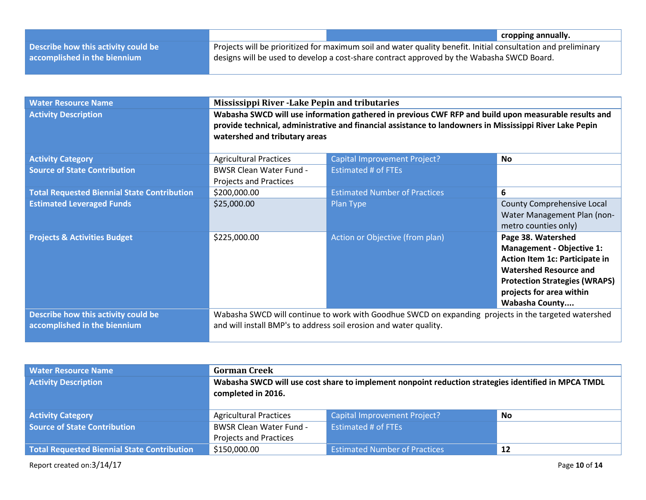|                                     |                                                                                                               | cropping annually. |
|-------------------------------------|---------------------------------------------------------------------------------------------------------------|--------------------|
| Describe how this activity could be | Projects will be prioritized for maximum soil and water quality benefit. Initial consultation and preliminary |                    |
| accomplished in the biennium        | designs will be used to develop a cost-share contract approved by the Wabasha SWCD Board.                     |                    |

| <b>Water Resource Name</b>                         | <b>Mississippi River - Lake Pepin and tributaries</b>                                                                                                                                                                                             |                                                                                                      |                                                                                                                                                                                                                        |
|----------------------------------------------------|---------------------------------------------------------------------------------------------------------------------------------------------------------------------------------------------------------------------------------------------------|------------------------------------------------------------------------------------------------------|------------------------------------------------------------------------------------------------------------------------------------------------------------------------------------------------------------------------|
| <b>Activity Description</b>                        | Wabasha SWCD will use information gathered in previous CWF RFP and build upon measurable results and<br>provide technical, administrative and financial assistance to landowners in Mississippi River Lake Pepin<br>watershed and tributary areas |                                                                                                      |                                                                                                                                                                                                                        |
| <b>Activity Category</b>                           | <b>Agricultural Practices</b>                                                                                                                                                                                                                     | Capital Improvement Project?                                                                         | <b>No</b>                                                                                                                                                                                                              |
| <b>Source of State Contribution</b>                | <b>BWSR Clean Water Fund -</b><br>Projects and Practices                                                                                                                                                                                          | <b>Estimated # of FTEs</b>                                                                           |                                                                                                                                                                                                                        |
| <b>Total Requested Biennial State Contribution</b> | \$200,000.00                                                                                                                                                                                                                                      | <b>Estimated Number of Practices</b>                                                                 | 6                                                                                                                                                                                                                      |
| <b>Estimated Leveraged Funds</b>                   | \$25,000.00                                                                                                                                                                                                                                       | Plan Type                                                                                            | <b>County Comprehensive Local</b><br>Water Management Plan (non-<br>metro counties only)                                                                                                                               |
| <b>Projects &amp; Activities Budget</b>            | \$225,000.00                                                                                                                                                                                                                                      | Action or Objective (from plan)                                                                      | Page 38. Watershed<br><b>Management - Objective 1:</b><br>Action Item 1c: Participate in<br><b>Watershed Resource and</b><br><b>Protection Strategies (WRAPS)</b><br>projects for area within<br><b>Wabasha County</b> |
| Describe how this activity could be                |                                                                                                                                                                                                                                                   | Wabasha SWCD will continue to work with Goodhue SWCD on expanding projects in the targeted watershed |                                                                                                                                                                                                                        |
| accomplished in the biennium                       | and will install BMP's to address soil erosion and water quality.                                                                                                                                                                                 |                                                                                                      |                                                                                                                                                                                                                        |

| <b>Water Resource Name</b><br><b>Activity Description</b> | <b>Gorman Creek</b><br>Wabasha SWCD will use cost share to implement nonpoint reduction strategies identified in MPCA TMDL<br>completed in 2016. |                                      |    |
|-----------------------------------------------------------|--------------------------------------------------------------------------------------------------------------------------------------------------|--------------------------------------|----|
| <b>Activity Category</b>                                  | <b>Agricultural Practices</b>                                                                                                                    | <b>Capital Improvement Project?</b>  | No |
| <b>Source of State Contribution</b>                       | <b>BWSR Clean Water Fund -</b>                                                                                                                   | <b>Estimated # of FTEs</b>           |    |
|                                                           | <b>Projects and Practices</b>                                                                                                                    |                                      |    |
| Total Requested Biennial State Contribution               | \$150,000.00                                                                                                                                     | <b>Estimated Number of Practices</b> | 12 |

Report created on:3/14/17 Page **10** of **14**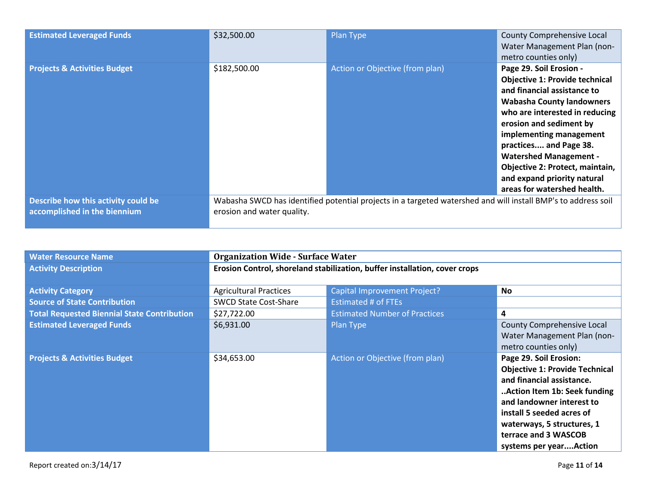| <b>Estimated Leveraged Funds</b>                                    | \$32,500.00                | Plan Type                                                                                                     | County Comprehensive Local<br>Water Management Plan (non-<br>metro counties only)                                                                                                                                                                                                                                                                                                       |
|---------------------------------------------------------------------|----------------------------|---------------------------------------------------------------------------------------------------------------|-----------------------------------------------------------------------------------------------------------------------------------------------------------------------------------------------------------------------------------------------------------------------------------------------------------------------------------------------------------------------------------------|
| <b>Projects &amp; Activities Budget</b>                             | \$182,500.00               | Action or Objective (from plan)                                                                               | Page 29. Soil Erosion -<br><b>Objective 1: Provide technical</b><br>and financial assistance to<br><b>Wabasha County landowners</b><br>who are interested in reducing<br>erosion and sediment by<br>implementing management<br>practices and Page 38.<br><b>Watershed Management -</b><br>Objective 2: Protect, maintain,<br>and expand priority natural<br>areas for watershed health. |
| Describe how this activity could be<br>accomplished in the biennium | erosion and water quality. | Wabasha SWCD has identified potential projects in a targeted watershed and will install BMP's to address soil |                                                                                                                                                                                                                                                                                                                                                                                         |

| <b>Water Resource Name</b>                         | <b>Organization Wide - Surface Water</b>                                   |                                      |                                                                                                                                                                                                                                                                        |
|----------------------------------------------------|----------------------------------------------------------------------------|--------------------------------------|------------------------------------------------------------------------------------------------------------------------------------------------------------------------------------------------------------------------------------------------------------------------|
| <b>Activity Description</b>                        | Erosion Control, shoreland stabilization, buffer installation, cover crops |                                      |                                                                                                                                                                                                                                                                        |
|                                                    |                                                                            |                                      |                                                                                                                                                                                                                                                                        |
| <b>Activity Category</b>                           | <b>Agricultural Practices</b>                                              | Capital Improvement Project?         | No.                                                                                                                                                                                                                                                                    |
| <b>Source of State Contribution</b>                | <b>SWCD State Cost-Share</b>                                               | Estimated # of FTEs                  |                                                                                                                                                                                                                                                                        |
| <b>Total Requested Biennial State Contribution</b> | \$27,722.00                                                                | <b>Estimated Number of Practices</b> | 4                                                                                                                                                                                                                                                                      |
| <b>Estimated Leveraged Funds</b>                   | \$6,931.00                                                                 | Plan Type                            | County Comprehensive Local<br>Water Management Plan (non-<br>metro counties only)                                                                                                                                                                                      |
| <b>Projects &amp; Activities Budget</b>            | \$34,653.00                                                                | Action or Objective (from plan)      | Page 29. Soil Erosion:<br><b>Objective 1: Provide Technical</b><br>and financial assistance.<br>Action Item 1b: Seek funding<br>and landowner interest to<br>install 5 seeded acres of<br>waterways, 5 structures, 1<br>terrace and 3 WASCOB<br>systems per yearAction |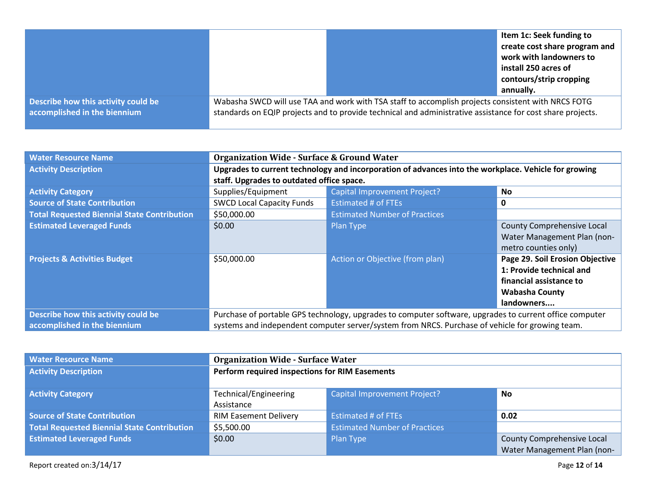|                                                                     |                                                                                                                                                                                                                  |  | Item 1c: Seek funding to<br>create cost share program and<br>work with landowners to<br>install 250 acres of<br>contours/strip cropping |
|---------------------------------------------------------------------|------------------------------------------------------------------------------------------------------------------------------------------------------------------------------------------------------------------|--|-----------------------------------------------------------------------------------------------------------------------------------------|
|                                                                     |                                                                                                                                                                                                                  |  | annually.                                                                                                                               |
| Describe how this activity could be<br>accomplished in the biennium | Wabasha SWCD will use TAA and work with TSA staff to accomplish projects consistent with NRCS FOTG<br>standards on EQIP projects and to provide technical and administrative assistance for cost share projects. |  |                                                                                                                                         |

| <b>Water Resource Name</b>                         | <b>Organization Wide - Surface &amp; Ground Water</b>                                                   |                                      |                                 |
|----------------------------------------------------|---------------------------------------------------------------------------------------------------------|--------------------------------------|---------------------------------|
| <b>Activity Description</b>                        | Upgrades to current technology and incorporation of advances into the workplace. Vehicle for growing    |                                      |                                 |
|                                                    | staff. Upgrades to outdated office space.                                                               |                                      |                                 |
| <b>Activity Category</b>                           | Supplies/Equipment                                                                                      | <b>Capital Improvement Project?</b>  | <b>No</b>                       |
| <b>Source of State Contribution</b>                | <b>SWCD Local Capacity Funds</b>                                                                        | <b>Estimated # of FTEs</b>           | 0                               |
| <b>Total Requested Biennial State Contribution</b> | \$50,000.00                                                                                             | <b>Estimated Number of Practices</b> |                                 |
| <b>Estimated Leveraged Funds</b>                   | \$0.00                                                                                                  | Plan Type                            | County Comprehensive Local      |
|                                                    |                                                                                                         |                                      | Water Management Plan (non-     |
|                                                    |                                                                                                         |                                      | metro counties only)            |
| <b>Projects &amp; Activities Budget</b>            | \$50,000.00                                                                                             | Action or Objective (from plan)      | Page 29. Soil Erosion Objective |
|                                                    |                                                                                                         |                                      | 1: Provide technical and        |
|                                                    |                                                                                                         |                                      | financial assistance to         |
|                                                    |                                                                                                         |                                      | <b>Wabasha County</b>           |
|                                                    |                                                                                                         |                                      | landowners                      |
| Describe how this activity could be                | Purchase of portable GPS technology, upgrades to computer software, upgrades to current office computer |                                      |                                 |
| accomplished in the biennium                       | systems and independent computer server/system from NRCS. Purchase of vehicle for growing team.         |                                      |                                 |

| <b>Water Resource Name</b>                         | <b>Organization Wide - Surface Water</b>       |                                      |                             |
|----------------------------------------------------|------------------------------------------------|--------------------------------------|-----------------------------|
| <b>Activity Description</b>                        | Perform required inspections for RIM Easements |                                      |                             |
|                                                    |                                                |                                      |                             |
| <b>Activity Category</b>                           | Technical/Engineering                          | <b>Capital Improvement Project?</b>  | No                          |
|                                                    | Assistance                                     |                                      |                             |
| <b>Source of State Contribution</b>                | <b>RIM Easement Delivery</b>                   | <b>Estimated # of FTEs</b>           | 0.02                        |
| <b>Total Requested Biennial State Contribution</b> | \$5,500.00                                     | <b>Estimated Number of Practices</b> |                             |
| <b>Estimated Leveraged Funds</b>                   | \$0.00                                         | Plan Type                            | County Comprehensive Local  |
|                                                    |                                                |                                      | Water Management Plan (non- |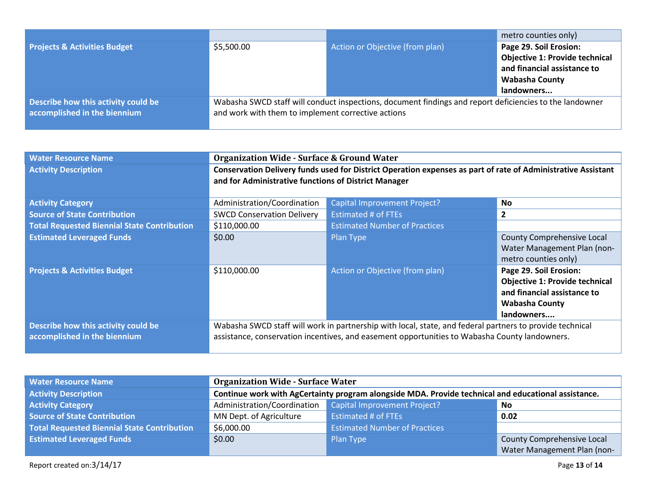|                                         |                                                                                                                                                               |                                 | metro counties only)                  |
|-----------------------------------------|---------------------------------------------------------------------------------------------------------------------------------------------------------------|---------------------------------|---------------------------------------|
| <b>Projects &amp; Activities Budget</b> | \$5,500.00                                                                                                                                                    | Action or Objective (from plan) | Page 29. Soil Erosion:                |
|                                         |                                                                                                                                                               |                                 | <b>Objective 1: Provide technical</b> |
|                                         |                                                                                                                                                               |                                 | and financial assistance to           |
|                                         |                                                                                                                                                               |                                 | <b>Wabasha County</b>                 |
|                                         |                                                                                                                                                               |                                 | landowners                            |
| Describe how this activity could be     | Wabasha SWCD staff will conduct inspections, document findings and report deficiencies to the landowner<br>and work with them to implement corrective actions |                                 |                                       |
| accomplished in the biennium            |                                                                                                                                                               |                                 |                                       |
|                                         |                                                                                                                                                               |                                 |                                       |

| <b>Water Resource Name</b>                         | <b>Organization Wide - Surface &amp; Ground Water</b>                                                        |                                      |                                       |
|----------------------------------------------------|--------------------------------------------------------------------------------------------------------------|--------------------------------------|---------------------------------------|
| <b>Activity Description</b>                        | Conservation Delivery funds used for District Operation expenses as part of rate of Administrative Assistant |                                      |                                       |
|                                                    | and for Administrative functions of District Manager                                                         |                                      |                                       |
|                                                    |                                                                                                              |                                      |                                       |
| <b>Activity Category</b>                           | Administration/Coordination                                                                                  | <b>Capital Improvement Project?</b>  | <b>No</b>                             |
| <b>Source of State Contribution</b>                | <b>SWCD Conservation Delivery</b>                                                                            | <b>Estimated # of FTEs</b>           | $\mathbf{2}$                          |
| <b>Total Requested Biennial State Contribution</b> | \$110,000.00                                                                                                 | <b>Estimated Number of Practices</b> |                                       |
| <b>Estimated Leveraged Funds</b>                   | \$0.00                                                                                                       | Plan Type                            | County Comprehensive Local            |
|                                                    |                                                                                                              |                                      | Water Management Plan (non-           |
|                                                    |                                                                                                              |                                      | metro counties only)                  |
| <b>Projects &amp; Activities Budget</b>            | \$110,000.00                                                                                                 | Action or Objective (from plan)      | Page 29. Soil Erosion:                |
|                                                    |                                                                                                              |                                      | <b>Objective 1: Provide technical</b> |
|                                                    |                                                                                                              |                                      | and financial assistance to           |
|                                                    |                                                                                                              |                                      | <b>Wabasha County</b>                 |
|                                                    |                                                                                                              |                                      | landowners                            |
| Describe how this activity could be                | Wabasha SWCD staff will work in partnership with local, state, and federal partners to provide technical     |                                      |                                       |
| accomplished in the biennium                       | assistance, conservation incentives, and easement opportunities to Wabasha County landowners.                |                                      |                                       |

| <b>Water Resource Name</b>                  | <b>Organization Wide - Surface Water</b>                                                            |                                      |                             |
|---------------------------------------------|-----------------------------------------------------------------------------------------------------|--------------------------------------|-----------------------------|
| <b>Activity Description</b>                 | Continue work with AgCertainty program alongside MDA. Provide technical and educational assistance. |                                      |                             |
| <b>Activity Category</b>                    | Administration/Coordination                                                                         | Capital Improvement Project?         | No.                         |
| <b>Source of State Contribution</b>         | MN Dept. of Agriculture                                                                             | <b>Estimated # of FTEs</b>           | 0.02                        |
| Total Requested Biennial State Contribution | \$6,000.00                                                                                          | <b>Estimated Number of Practices</b> |                             |
| <b>Estimated Leveraged Funds</b>            | \$0.00                                                                                              | Plan Type                            | County Comprehensive Local  |
|                                             |                                                                                                     |                                      | Water Management Plan (non- |